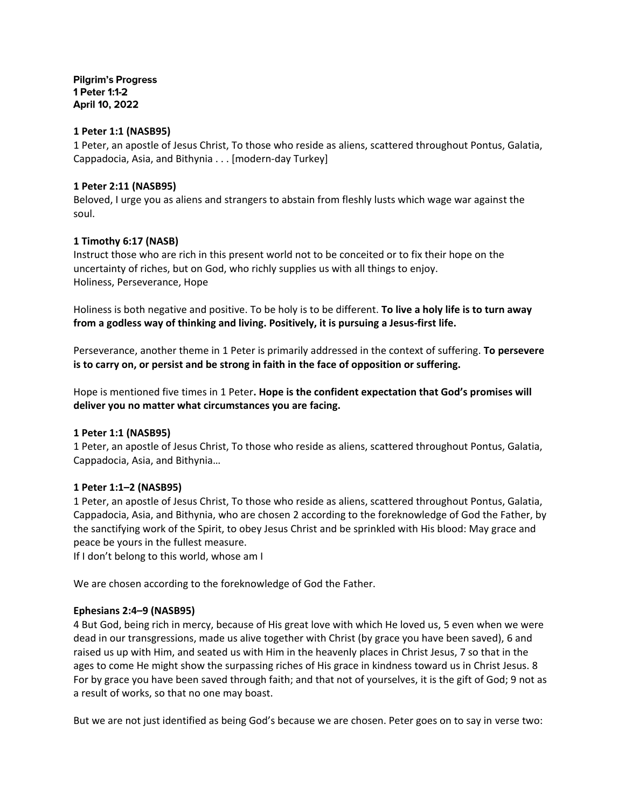**Pilgrim's Progress** 1 Peter 1:1-2 April 10, 2022

# **1 Peter 1:1 (NASB95)**

1 Peter, an apostle of Jesus Christ, To those who reside as aliens, scattered throughout Pontus, Galatia, Cappadocia, Asia, and Bithynia . . . [modern-day Turkey]

#### **1 Peter 2:11 (NASB95)**

Beloved, I urge you as aliens and strangers to abstain from fleshly lusts which wage war against the soul.

# **1 Timothy 6:17 (NASB)**

Instruct those who are rich in this present world not to be conceited or to fix their hope on the uncertainty of riches, but on God, who richly supplies us with all things to enjoy. Holiness, Perseverance, Hope

Holiness is both negative and positive. To be holy is to be different. **To live a holy life is to turn away from a godless way of thinking and living. Positively, it is pursuing a Jesus-first life.**

Perseverance, another theme in 1 Peter is primarily addressed in the context of suffering. **To persevere is to carry on, or persist and be strong in faith in the face of opposition or suffering.**

Hope is mentioned five times in 1 Peter**. Hope is the confident expectation that God's promises will deliver you no matter what circumstances you are facing.**

# **1 Peter 1:1 (NASB95)**

1 Peter, an apostle of Jesus Christ, To those who reside as aliens, scattered throughout Pontus, Galatia, Cappadocia, Asia, and Bithynia…

#### **1 Peter 1:1–2 (NASB95)**

1 Peter, an apostle of Jesus Christ, To those who reside as aliens, scattered throughout Pontus, Galatia, Cappadocia, Asia, and Bithynia, who are chosen 2 according to the foreknowledge of God the Father, by the sanctifying work of the Spirit, to obey Jesus Christ and be sprinkled with His blood: May grace and peace be yours in the fullest measure.

If I don't belong to this world, whose am I

We are chosen according to the foreknowledge of God the Father.

#### **Ephesians 2:4–9 (NASB95)**

4 But God, being rich in mercy, because of His great love with which He loved us, 5 even when we were dead in our transgressions, made us alive together with Christ (by grace you have been saved), 6 and raised us up with Him, and seated us with Him in the heavenly places in Christ Jesus, 7 so that in the ages to come He might show the surpassing riches of His grace in kindness toward us in Christ Jesus. 8 For by grace you have been saved through faith; and that not of yourselves, it is the gift of God; 9 not as a result of works, so that no one may boast.

But we are not just identified as being God's because we are chosen. Peter goes on to say in verse two: